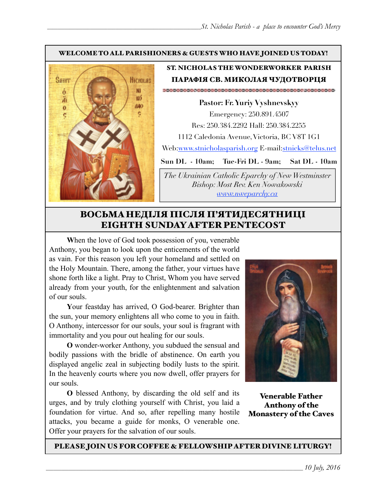#### WELCOME TO ALL PARISHIONERS & GUESTS WHO HAVE JOINED US TODAY!



### ST. NICHOLAS THE WONDERWORKER PARISH ПАРАФІЯ СВ. МИКОЛАЯ ЧУДОТВОРЦЯ

**Pastor: Fr. Yuriy Vyshnevskyy** Emergency: 250.891.4507 Res: 250.384.2292 Hall: 250.384.2255 1112 Caledonia Avenue, Victoria, BC V8T 1G1 Web:[www.stnicholasparish.org](http://www.stnicholasparish.org) E-mail[:stnicks@telus.net](mailto:stnicks@telus.net)

**Sun DL - 10am; Tue-Fri DL - 9am; Sat DL - 10am**

*The Ukrainian Catholic Eparchy of New Westminster Bishop: Most Rev. Ken Nowakowski [www.nweparchy.ca](http://www.nweparchy.ca)*

# ВОСЬМАНЕДІЛЯ ПІСЛЯ П'ЯТИДЕСЯТНИЦІ EIGHTH SUNDAY AFTER PENTECOST

**W**hen the love of God took possession of you, venerable Anthony, you began to look upon the enticements of the world as vain. For this reason you left your homeland and settled on the Holy Mountain. There, among the father, your virtues have shone forth like a light. Pray to Christ, Whom you have served already from your youth, for the enlightenment and salvation of our souls.

**Y**our feastday has arrived, O God-bearer. Brighter than the sun, your memory enlightens all who come to you in faith. O Anthony, intercessor for our souls, your soul is fragrant with immortality and you pour out healing for our souls.

**O** wonder-worker Anthony, you subdued the sensual and bodily passions with the bridle of abstinence. On earth you displayed angelic zeal in subjecting bodily lusts to the spirit. In the heavenly courts where you now dwell, offer prayers for our souls.

**O** blessed Anthony, by discarding the old self and its urges, and by truly clothing yourself with Christ, you laid a foundation for virtue. And so, after repelling many hostile attacks, you became a guide for monks, O venerable one. Offer your prayers for the salvation of our souls.



Venerable Father Anthony of the Monastery of the Caves

PLEASE JOIN US FOR COFFEE & FELLOWSHIP AFTER DIVINE LITURGY!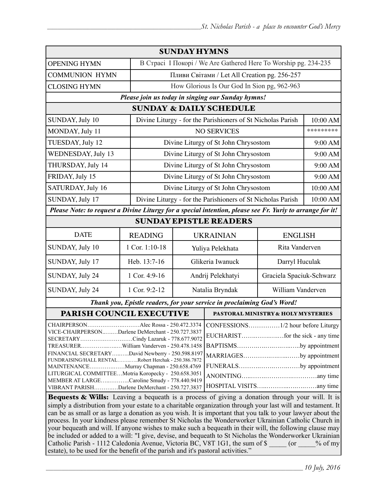| <b>SUNDAY HYMNS</b>                                                                                                                                                                                                                                                                                                                                                                                                                                                                                                                                                                                                                                                       |                                                             |                                                                 |                                    |                          |           |  |
|---------------------------------------------------------------------------------------------------------------------------------------------------------------------------------------------------------------------------------------------------------------------------------------------------------------------------------------------------------------------------------------------------------------------------------------------------------------------------------------------------------------------------------------------------------------------------------------------------------------------------------------------------------------------------|-------------------------------------------------------------|-----------------------------------------------------------------|------------------------------------|--------------------------|-----------|--|
| <b>OPENING HYMN</b>                                                                                                                                                                                                                                                                                                                                                                                                                                                                                                                                                                                                                                                       |                                                             | В Страсі I Покорі / We Are Gathered Here To Worship pg. 234-235 |                                    |                          |           |  |
| <b>COMMUNION HYMN</b>                                                                                                                                                                                                                                                                                                                                                                                                                                                                                                                                                                                                                                                     |                                                             | Пливи Світами / Let All Creation pg. 256-257                    |                                    |                          |           |  |
| <b>CLOSING HYMN</b>                                                                                                                                                                                                                                                                                                                                                                                                                                                                                                                                                                                                                                                       |                                                             | How Glorious Is Our God In Sion pg, 962-963                     |                                    |                          |           |  |
| Please join us today in singing our Sunday hymns!                                                                                                                                                                                                                                                                                                                                                                                                                                                                                                                                                                                                                         |                                                             |                                                                 |                                    |                          |           |  |
| <b>SUNDAY &amp; DAILY SCHEDULE</b>                                                                                                                                                                                                                                                                                                                                                                                                                                                                                                                                                                                                                                        |                                                             |                                                                 |                                    |                          |           |  |
| SUNDAY, July 10                                                                                                                                                                                                                                                                                                                                                                                                                                                                                                                                                                                                                                                           | Divine Liturgy - for the Parishioners of St Nicholas Parish |                                                                 |                                    |                          | 10:00 AM  |  |
| MONDAY, July 11                                                                                                                                                                                                                                                                                                                                                                                                                                                                                                                                                                                                                                                           |                                                             | <b>NO SERVICES</b>                                              |                                    |                          | ********* |  |
| TUESDAY, July 12                                                                                                                                                                                                                                                                                                                                                                                                                                                                                                                                                                                                                                                          |                                                             | Divine Liturgy of St John Chrysostom                            |                                    |                          | 9:00 AM   |  |
| WEDNESDAY, July 13                                                                                                                                                                                                                                                                                                                                                                                                                                                                                                                                                                                                                                                        |                                                             | Divine Liturgy of St John Chrysostom                            |                                    |                          | 9:00 AM   |  |
| THURSDAY, July 14                                                                                                                                                                                                                                                                                                                                                                                                                                                                                                                                                                                                                                                         |                                                             | Divine Liturgy of St John Chrysostom                            |                                    |                          | 9:00 AM   |  |
| FRIDAY, July 15                                                                                                                                                                                                                                                                                                                                                                                                                                                                                                                                                                                                                                                           |                                                             | Divine Liturgy of St John Chrysostom                            |                                    |                          |           |  |
| SATURDAY, July 16                                                                                                                                                                                                                                                                                                                                                                                                                                                                                                                                                                                                                                                         |                                                             | Divine Liturgy of St John Chrysostom                            |                                    |                          | 10:00 AM  |  |
| SUNDAY, July 17<br>Divine Liturgy - for the Parishioners of St Nicholas Parish                                                                                                                                                                                                                                                                                                                                                                                                                                                                                                                                                                                            |                                                             |                                                                 |                                    | 10:00 AM                 |           |  |
| Please Note: to request a Divine Liturgy for a special intention, please see Fr. Yuriy to arrange for it!                                                                                                                                                                                                                                                                                                                                                                                                                                                                                                                                                                 |                                                             |                                                                 |                                    |                          |           |  |
| <b>SUNDAY EPISTLE READERS</b>                                                                                                                                                                                                                                                                                                                                                                                                                                                                                                                                                                                                                                             |                                                             |                                                                 |                                    |                          |           |  |
| <b>DATE</b>                                                                                                                                                                                                                                                                                                                                                                                                                                                                                                                                                                                                                                                               | <b>READING</b>                                              | <b>UKRAINIAN</b>                                                |                                    | <b>ENGLISH</b>           |           |  |
| SUNDAY, July 10                                                                                                                                                                                                                                                                                                                                                                                                                                                                                                                                                                                                                                                           | 1 Cor. 1:10-18                                              | Yuliya Pelekhata                                                |                                    | Rita Vanderven           |           |  |
| SUNDAY, July 17                                                                                                                                                                                                                                                                                                                                                                                                                                                                                                                                                                                                                                                           | Heb. 13:7-16                                                | Glikeria Iwanuck                                                |                                    | Darryl Huculak           |           |  |
| SUNDAY, July 24                                                                                                                                                                                                                                                                                                                                                                                                                                                                                                                                                                                                                                                           | 1 Cor. 4:9-16                                               | Andrij Pelekhatyi                                               |                                    | Graciela Spaciuk-Schwarz |           |  |
| SUNDAY, July 24                                                                                                                                                                                                                                                                                                                                                                                                                                                                                                                                                                                                                                                           | 1 Cor. 9:2-12                                               | Natalia Bryndak                                                 |                                    | William Vanderven        |           |  |
| Thank you, Epistle readers, for your service in proclaiming God's Word!                                                                                                                                                                                                                                                                                                                                                                                                                                                                                                                                                                                                   |                                                             |                                                                 |                                    |                          |           |  |
| PARISH COUNCIL EXECUTIVE                                                                                                                                                                                                                                                                                                                                                                                                                                                                                                                                                                                                                                                  |                                                             |                                                                 | PASTORAL MINISTRY & HOLY MYSTERIES |                          |           |  |
| $.1/2$ hour before Liturgy<br>VICE-CHAIRPERSONDarlene DeMerchant - 250.727.3837<br>SECRETARYCindy Lazaruk - 778.677.9072<br>BAPTISMSby appointment<br>TREASURERWilliam Vanderven - 250.478.1458<br>FINANCIAL SECRETARYDavid Newberry - 250.598.8197<br>MARRIAGESby appointment<br>FUNDRAISING/HALL RENTALRobert Herchak - 250.386.7872<br>FUNERALSby appointment<br>MAINTENANCEMurray Chapman - 250.658.4769<br>LITURGICAL COMMITTEEMotria Koropecky - 250.658.3051<br>MEMBER AT LARGECaroline Smudy - 778.440.9419<br>VIBRANT PARISHDarlene DeMerchant - 250.727.3837<br>Bequests & Wills: Leaving a bequeath is a process of giving a donation through your will. It is |                                                             |                                                                 |                                    |                          |           |  |
| simply a distribution from your estate to a charitable organization through your last will and testament. It<br>can be as small or as large a donation as you wish. It is important that you talk to your lawyer about the                                                                                                                                                                                                                                                                                                                                                                                                                                                |                                                             |                                                                 |                                    |                          |           |  |

process. In your kindness please remember St Nicholas the Wonderworker Ukrainian Catholic Church in your bequeath and will. If anyone wishes to make such a bequeath in their will, the following clause may be included or added to a will: "I give, devise, and bequeath to St Nicholas the Wonderworker Ukrainian Catholic Parish - 1112 Caledonia Avenue, Victoria BC, V8T 1G1, the sum of \$ \_\_\_\_\_ (or \_\_\_\_% of my estate), to be used for the benefit of the parish and it's pastoral activities."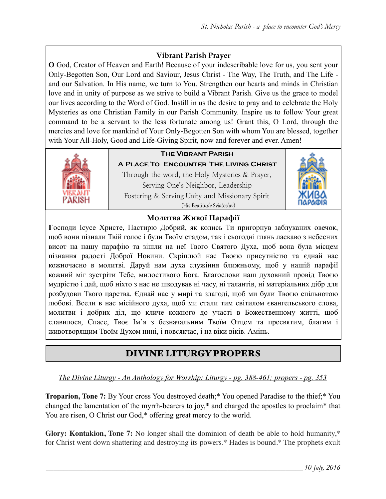## **Vibrant Parish Prayer**

**O** God, Creator of Heaven and Earth! Because of your indescribable love for us, you sent your Only-Begotten Son, Our Lord and Saviour, Jesus Christ - The Way, The Truth, and The Life and our Salvation. In His name, we turn to You. Strengthen our hearts and minds in Christian love and in unity of purpose as we strive to build a Vibrant Parish. Give us the grace to model our lives according to the Word of God. Instill in us the desire to pray and to celebrate the Holy Mysteries as one Christian Family in our Parish Community. Inspire us to follow Your great command to be a servant to the less fortunate among us! Grant this, O Lord, through the mercies and love for mankind of Your Only-Begotten Son with whom You are blessed, together with Your All-Holy, Good and Life-Giving Spirit, now and forever and ever. Amen!



# **The Vibrant Parish**

**A Place To Encounter The Living Christ** Through the word, the Holy Mysteries & Prayer, Serving One's Neighbor, Leadership Fostering & Serving Unity and Missionary Spirit (His Beatitude Sviatoslav)



### **Молитва Живої Парафії**

**Г**осподи Ісусе Христе, Пастирю Добрий, як колись Ти пригорнув заблуканих овечок, щоб вони пізнали Твій голос і були Твоїм стадом, так і сьогодні глянь ласкаво з небесних висот на нашу парафію та зішли на неї Твого Святого Духа, щоб вона була місцем пізнання радості Доброї Новини. Скріплюй нас Твоєю присутністю та єднай нас кожночасно в молитві. Даруй нам духа служіння ближньому, щоб у нашій парафії кожний міг зустріти Тебе, милостивого Бога. Благослови наш духовний провід Твоєю мудрістю і дай, щоб ніхто з нас не шкодував ні часу, ні талантів, ні матеріальних дібр для розбудови Твого царства. Єднай нас у мирі та злагоді, щоб ми були Твоєю спільнотою любові. Всели в нас місійного духа, щоб ми стали тим світилом євангельського слова, молитви і добрих діл, що кличе кожного до участі в Божественному житті, щоб славилося, Спасе, Твоє Ім'я з безначальним Твоїм Отцем та пресвятим, благим і животворящим Твоїм Духом нині, і повсякчас, і на віки віків. Амінь.

# DIVINE LITURGY PROPERS

*The Divine Liturgy - An Anthology for Worship: Liturgy - pg. 388-461; propers - pg. 353* 

**Troparion, Tone 7:** By Your cross You destroyed death;\* You opened Paradise to the thief;\* You changed the lamentation of the myrrh-bearers to joy,\* and charged the apostles to proclaim\* that You are risen, O Christ our God,\* offering great mercy to the world.

**Glory: Kontakion, Tone 7:** No longer shall the dominion of death be able to hold humanity,\* for Christ went down shattering and destroying its powers.\* Hades is bound.\* The prophets exult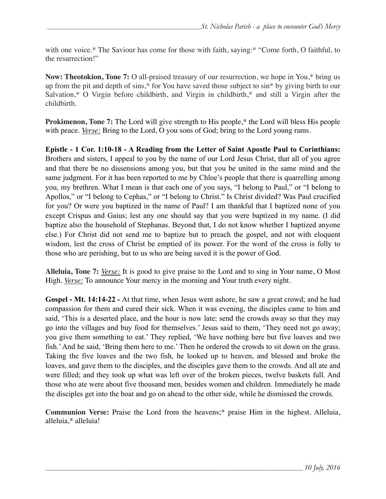with one voice.\* The Saviour has come for those with faith, saying:\* "Come forth, O faithful, to the resurrection!"

**Now: Theotokion, Tone 7:** O all-praised treasury of our resurrection, we hope in You,\* bring us up from the pit and depth of sins,\* for You have saved those subject to sin\* by giving birth to our Salvation,\* O Virgin before childbirth, and Virgin in childbirth,\* and still a Virgin after the childbirth.

**Prokimenon, Tone 7:** The Lord will give strength to His people,<sup>\*</sup> the Lord will bless His people with peace. *Verse:* Bring to the Lord, O you sons of God; bring to the Lord young rams.

**Epistle - 1 Cor. 1:10-18 - A Reading from the Letter of Saint Apostle Paul to Corinthians:** Brothers and sisters, I appeal to you by the name of our Lord Jesus Christ, that all of you agree and that there be no dissensions among you, but that you be united in the same mind and the same judgment. For it has been reported to me by Chloe's people that there is quarrelling among you, my brethren. What I mean is that each one of you says, "I belong to Paul," or "I belong to Apollos," or "I belong to Cephas," or "I belong to Christ." Is Christ divided? Was Paul crucified for you? Or were you baptized in the name of Paul? I am thankful that I baptized none of you except Crispus and Gaius; lest any one should say that you were baptized in my name. (I did baptize also the household of Stephanas. Beyond that, I do not know whether I baptized anyone else.) For Christ did not send me to baptize but to preach the gospel, and not with eloquent wisdom, lest the cross of Christ be emptied of its power. For the word of the cross is folly to those who are perishing, but to us who are being saved it is the power of God.

**Alleluia, Tone 7:** *Verse:* It is good to give praise to the Lord and to sing in Your name, O Most High. *Verse:* To announce Your mercy in the morning and Your truth every night.

**Gospel - Mt. 14:14-22 -** At that time, when Jesus went ashore, he saw a great crowd; and he had compassion for them and cured their sick. When it was evening, the disciples came to him and said, 'This is a deserted place, and the hour is now late; send the crowds away so that they may go into the villages and buy food for themselves.' Jesus said to them, 'They need not go away; you give them something to eat.' They replied, 'We have nothing here but five loaves and two fish.' And he said, 'Bring them here to me.' Then he ordered the crowds to sit down on the grass. Taking the five loaves and the two fish, he looked up to heaven, and blessed and broke the loaves, and gave them to the disciples, and the disciples gave them to the crowds. And all ate and were filled; and they took up what was left over of the broken pieces, twelve baskets full. And those who ate were about five thousand men, besides women and children. Immediately he made the disciples get into the boat and go on ahead to the other side, while he dismissed the crowds.

**Communion Verse:** Praise the Lord from the heavens;\* praise Him in the highest. Alleluia, alleluia,\* alleluia!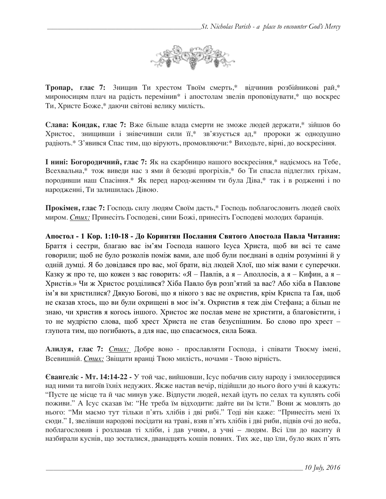

**Тропар, глас 7:** 3нищив Ти хрестом Твоїм смерть,\* відчинив розбійникові рай,\* мироносицям плач на радість перемінив\* і апостолам звелів проповідувати,\* що воскрес Ти, Христе Боже,\* даючи світові велику милість.

**Слава: Кондак, глас 7:** Вже більше влада смерти не зможе людей держати,\* зійшов бо Христос, знищивши і знівечивши сили її,\* зв'язується ад,\* пророки ж однодушно радіють.\* З'явився Спас тим, що вірують, промовляючи:\* Виходьте, вірні, до воскресіння.

**І нині: Богородичний, глас 7:** Як на скарбницю нашого воскресіння,\* надіємось на Тебе, Всехвальна,\* тож виведи нас з ями й безодні прогріхів,\* бо Ти спасла підлеглих гріхам, породивши наш Спасіння.\* Як перед народ-женням ти була Діва,\* так і в родженні і по народженні, Ти залишилась Дівою.

**Прокімен, глас 7:** Господь силу людям Своїм дасть,\* Господь поблагословить людей своїх миром. *Стих:* Принесіть Господеві, сини Божі, принесіть Господеві молодих баранців.

**Апостол - 1 Кoр. 1:10-18 - До Коринтян Послання Святого Апостола Павла Читання:**  Браття і сестри, благаю вас ім'ям Господа нашого Ісуса Христа, щоб ви всі те саме говорили; щоб не було розколів поміж вами, але щоб були поєднані в однім розумінні й у одній думці. Я бо довідався про вас, мої брати, від людей Хлої, що між вами є суперечки. Казку ж про те, що кожен з вас говорить: «Я – Павлів, а я – Аполлосів, а я – Кифин, а я – Христів.» Чи ж Христос розділився? Хіба Павло був розп'ятий за вас? Або хіба в Павлове ім'я ви христилися? Дякую Богові, що я нікого з вас не охристив, крім Криспа та Ґая, щоб не сказав хтось, що ви були охрищені в моє ім'я. Охристив я теж дім Стефана; а більш не знаю, чи христив я когось іншого. Христос же послав мене не христити, а благовістити, і то не мудрістю слова, щоб хрест Христа не став безуспішним. Бо слово про хрест – глупота тим, що погибають, а для нас, що спасаємося, сила Божа.

**Алилуя, глас 7:** *Стих:* Добре воно - прославляти Господа, і співати Твоєму імені, Всевишній. *Стих:* Звіщати вранці Твою милість, ночами - Твою вірність.

**Євангеліє - Мт. 14:14-22 -** У той час, вийшовши, Ісус побачив силу народу і змилосердився над ними та вигоїв їхніх недужих. Якже настав вечір, підійшли до нього його учні й кажуть: "Пусте це місце та й час минув уже. Відпусти людей, нехай ідуть по селах та куплять собі поживи." А Ісус сказав їм: "Не треба їм відходити: дайте ви їм їсти." Вони ж мовлять до нього: "Ми маємо тут тільки п'ять хлібів і дві рибі." Тоді він каже: "Принесіть мені їх сюди." І, звелівши народові посідати на траві, взяв п'ять хлібів і дві риби, підвів очі до неба, поблагословив і розламав ті хліби, і дав учням, а учні – людям. Всі їли до наситу й назбирали куснів, що зосталися, дванадцять кошів повних. Тих же, що їли, було яких п'ять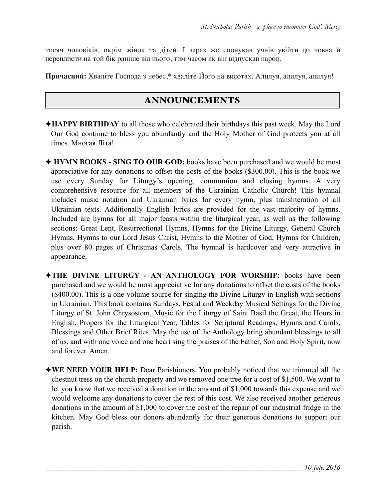тисяч чоловіків, окрім жінок та дітей. І зараз же спонукав учнів увійти до човна й переплисти на той бік раніше від нього, тим часом як він відпускав народ.

**Причасний:** Хваліте Господа з небес,\* хваліте Його на висотах. Алилуя, алилуя, алилуя!

### ANNOUNCEMENTS

- ✦**HAPPY BIRTHDAY** to all those who celebrated their birthdays this past week. May the Lord Our God continue to bless you abundantly and the Holy Mother of God protects you at all times. Многая Літа!
- ✦ **HYMN BOOKS SING TO OUR GOD:** books have been purchased and we would be most appreciative for any donations to offset the costs of the books (\$300.00). This is the book we use every Sunday for Liturgy's opening, communion and closing hymns. A very comprehensive resource for all members of the Ukrainian Catholic Church! This hymnal includes music notation and Ukrainian lyrics for every hymn, plus transliteration of all Ukrainian texts. Additionally English lyrics are provided for the vast majority of hymns. Included are hymns for all major feasts within the liturgical year, as well as the following sections: Great Lent, Resurrectional Hymns, Hymns for the Divine Liturgy, General Church Hymns, Hymns to our Lord Jesus Christ, Hymns to the Mother of God, Hymns for Children, plus over 80 pages of Christmas Carols. The hymnal is hardcover and very attractive in appearance.
- ✦**THE DIVINE LITURGY AN ANTHOLOGY FOR WORSHIP:** books have been purchased and we would be most appreciative for any donations to offset the costs of the books (\$400.00). This is a one-volume source for singing the Divine Liturgy in English with sections in Ukrainian. This book contains Sundays, Festal and Weekday Musical Settings for the Divine Liturgy of St. John Chrysostom, Music for the Liturgy of Saint Basil the Great, the Hours in English, Propers for the Liturgical Year, Tables for Scriptural Readings, Hymns and Carols, Blessings and Other Brief Rites. May the use of the Anthology bring abundant blessings to all of us, and with one voice and one heart sing the praises of the Father, Son and Holy Spirit, now and forever. Amen.
- ✦**WE NEED YOUR HELP:** Dear Parishioners. You probably noticed that we trimmed all the chestnut tress on the church property and we removed one tree for a cost of \$1,500. We want to let you know that we received a donation in the amount of \$1,000 towards this expense and we would welcome any donations to cover the rest of this cost. We also received another generous donations in the amount of \$1,000 to cover the cost of the repair of our industrial fridge in the kitchen. May God bless our donors abundantly for their generous donations to support our parish.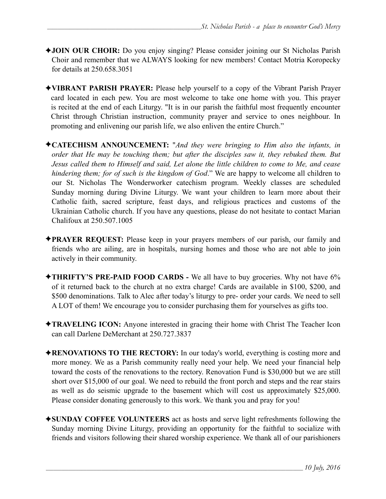- ✦**JOIN OUR CHOIR:** Do you enjoy singing? Please consider joining our St Nicholas Parish Choir and remember that we ALWAYS looking for new members! Contact Motria Koropecky for details at 250.658.3051
- ✦**VIBRANT PARISH PRAYER:** Please help yourself to a copy of the Vibrant Parish Prayer card located in each pew. You are most welcome to take one home with you. This prayer is recited at the end of each Liturgy. "It is in our parish the faithful most frequently encounter Christ through Christian instruction, community prayer and service to ones neighbour. In promoting and enlivening our parish life, we also enliven the entire Church."
- ✦**CATECHISM ANNOUNCEMENT:** "*And they were bringing to Him also the infants, in order that He may be touching them; but after the disciples saw it, they rebuked them. But Jesus called them to Himself and said, Let alone the little children to come to Me, and cease hindering them; for of such is the kingdom of God*." We are happy to welcome all children to our St. Nicholas The Wonderworker catechism program. Weekly classes are scheduled Sunday morning during Divine Liturgy. We want your children to learn more about their Catholic faith, sacred scripture, feast days, and religious practices and customs of the Ukrainian Catholic church. If you have any questions, please do not hesitate to contact Marian Chalifoux at 250.507.1005
- ✦**PRAYER REQUEST:** Please keep in your prayers members of our parish, our family and friends who are ailing, are in hospitals, nursing homes and those who are not able to join actively in their community.
- ✦**THRIFTY'S PRE-PAID FOOD CARDS** We all have to buy groceries. Why not have 6% of it returned back to the church at no extra charge! Cards are available in \$100, \$200, and \$500 denominations. Talk to Alec after today's liturgy to pre- order your cards. We need to sell A LOT of them! We encourage you to consider purchasing them for yourselves as gifts too.
- ✦**TRAVELING ICON:** Anyone interested in gracing their home with Christ The Teacher Icon can call Darlene DeMerchant at 250.727.3837
- ✦**RENOVATIONS TO THE RECTORY:** In our today's world, everything is costing more and more money. We as a Parish community really need your help. We need your financial help toward the costs of the renovations to the rectory. Renovation Fund is \$30,000 but we are still short over \$15,000 of our goal. We need to rebuild the front porch and steps and the rear stairs as well as do seismic upgrade to the basement which will cost us approximately \$25,000. Please consider donating generously to this work. We thank you and pray for you!
- ✦**SUNDAY COFFEE VOLUNTEERS** act as hosts and serve light refreshments following the Sunday morning Divine Liturgy, providing an opportunity for the faithful to socialize with friends and visitors following their shared worship experience. We thank all of our parishioners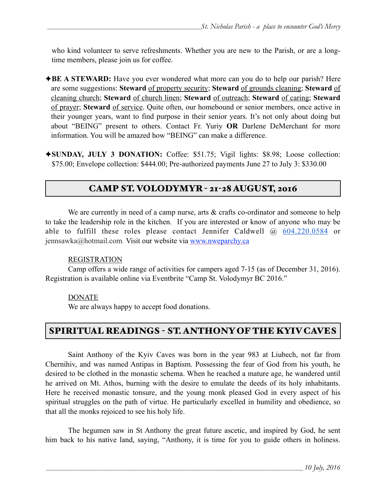who kind volunteer to serve refreshments. Whether you are new to the Parish, or are a longtime members, please join us for coffee.

- ◆**BE A STEWARD:** Have you ever wondered what more can you do to help our parish? Here are some suggestions: **Steward** of property security; **Steward** of grounds cleaning; **Steward** of cleaning church; **Steward** of church linen; **Steward** of outreach; **Steward** of caring; **Steward** of prayer; **Steward** of service. Quite often, our homebound or senior members, once active in their younger years, want to find purpose in their senior years. It's not only about doing but about "BEING" present to others. Contact Fr. Yuriy **OR** Darlene DeMerchant for more information. You will be amazed how "BEING" can make a difference.
- ✦**SUNDAY, JULY 3 DONATION:** Coffee: \$51.75; Vigil lights: \$8.98; Loose collection: \$75.00; Envelope collection: \$444.00; Pre-authorized payments June 27 to July 3: \$330.00

# CAMP ST. VOLODYMYR - 21-28 AUGUST, 2016

We are currently in need of a camp nurse, arts & crafts co-ordinator and someone to help to take the leadership role in the kitchen. If you are interested or know of anyone who may be able to fulfill these roles please contact Jennifer Caldwell  $\omega_{0.604,220,0584}$  or jennsawka@hotmail.com. Visit our website via [www.nweparchy.ca](http://www.nweparchy.ca/)

### REGISTRATION

Camp offers a wide range of activities for campers aged 7-15 (as of December 31, 2016). Registration is available online via Eventbrite "Camp St. Volodymyr BC 2016."

### DONATE

We are always happy to accept food donations.

# SPIRITUAL READINGS - ST. ANTHONY OF THE KYIV CAVES

 Saint Anthony of the Kyiv Caves was born in the year 983 at Liubech, not far from Chernihiv, and was named Antipas in Baptism. Possessing the fear of God from his youth, he desired to be clothed in the monastic schema. When he reached a mature age, he wandered until he arrived on Mt. Athos, burning with the desire to emulate the deeds of its holy inhabitants. Here he received monastic tonsure, and the young monk pleased God in every aspect of his spiritual struggles on the path of virtue. He particularly excelled in humility and obedience, so that all the monks rejoiced to see his holy life.

 The hegumen saw in St Anthony the great future ascetic, and inspired by God, he sent him back to his native land, saying, "Anthony, it is time for you to guide others in holiness.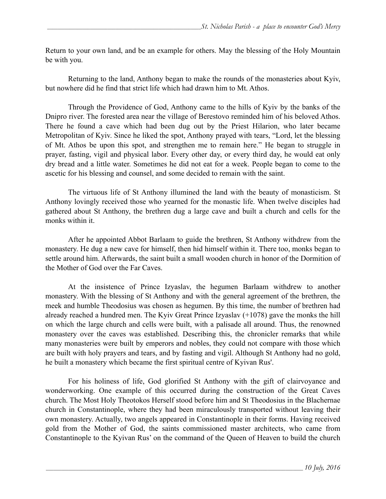Return to your own land, and be an example for others. May the blessing of the Holy Mountain be with you.

 Returning to the land, Anthony began to make the rounds of the monasteries about Kyiv, but nowhere did he find that strict life which had drawn him to Mt. Athos.

 Through the Providence of God, Anthony came to the hills of Kyiv by the banks of the Dnipro river. The forested area near the village of Berestovo reminded him of his beloved Athos. There he found a cave which had been dug out by the Priest Hilarion, who later became Metropolitan of Kyiv. Since he liked the spot, Anthony prayed with tears, "Lord, let the blessing of Mt. Athos be upon this spot, and strengthen me to remain here." He began to struggle in prayer, fasting, vigil and physical labor. Every other day, or every third day, he would eat only dry bread and a little water. Sometimes he did not eat for a week. People began to come to the ascetic for his blessing and counsel, and some decided to remain with the saint.

The virtuous life of St Anthony illumined the land with the beauty of monasticism. St Anthony lovingly received those who yearned for the monastic life. When twelve disciples had gathered about St Anthony, the brethren dug a large cave and built a church and cells for the monks within it.

After he appointed Abbot Barlaam to guide the brethren, St Anthony withdrew from the monastery. He dug a new cave for himself, then hid himself within it. There too, monks began to settle around him. Afterwards, the saint built a small wooden church in honor of the Dormition of the Mother of God over the Far Caves.

 At the insistence of Prince Izyaslav, the hegumen Barlaam withdrew to another monastery. With the blessing of St Anthony and with the general agreement of the brethren, the meek and humble Theodosius was chosen as hegumen. By this time, the number of brethren had already reached a hundred men. The Kyiv Great Prince Izyaslav (+1078) gave the monks the hill on which the large church and cells were built, with a palisade all around. Thus, the renowned monastery over the caves was established. Describing this, the chronicler remarks that while many monasteries were built by emperors and nobles, they could not compare with those which are built with holy prayers and tears, and by fasting and vigil. Although St Anthony had no gold, he built a monastery which became the first spiritual centre of Kyivan Rus'.

 For his holiness of life, God glorified St Anthony with the gift of clairvoyance and wonderworking. One example of this occurred during the construction of the Great Caves church. The Most Holy Theotokos Herself stood before him and St Theodosius in the Blachernae church in Constantinople, where they had been miraculously transported without leaving their own monastery. Actually, two angels appeared in Constantinople in their forms. Having received gold from the Mother of God, the saints commissioned master architects, who came from Constantinople to the Kyivan Rus' on the command of the Queen of Heaven to build the church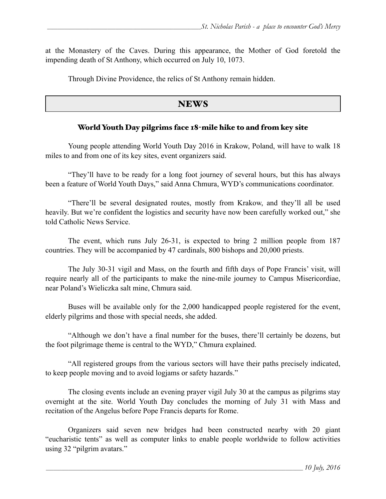at the Monastery of the Caves. During this appearance, the Mother of God foretold the impending death of St Anthony, which occurred on July 10, 1073.

Through Divine Providence, the relics of St Anthony remain hidden.

### **NEWS**

### World Youth Day pilgrims face 18-mile hike to and from key site

Young people attending World Youth Day 2016 in Krakow, Poland, will have to walk 18 miles to and from one of its key sites, event organizers said.

"They'll have to be ready for a long foot journey of several hours, but this has always been a feature of World Youth Days," said Anna Chmura, WYD's communications coordinator.

"There'll be several designated routes, mostly from Krakow, and they'll all be used heavily. But we're confident the logistics and security have now been carefully worked out," she told Catholic News Service.

 The event, which runs July 26-31, is expected to bring 2 million people from 187 countries. They will be accompanied by 47 cardinals, 800 bishops and 20,000 priests.

The July 30-31 vigil and Mass, on the fourth and fifth days of Pope Francis' visit, will require nearly all of the participants to make the nine-mile journey to Campus Misericordiae, near Poland's Wieliczka salt mine, Chmura said.

Buses will be available only for the 2,000 handicapped people registered for the event, elderly pilgrims and those with special needs, she added.

"Although we don't have a final number for the buses, there'll certainly be dozens, but the foot pilgrimage theme is central to the WYD," Chmura explained.

"All registered groups from the various sectors will have their paths precisely indicated, to keep people moving and to avoid logjams or safety hazards."

The closing events include an evening prayer vigil July 30 at the campus as pilgrims stay overnight at the site. World Youth Day concludes the morning of July 31 with Mass and recitation of the Angelus before Pope Francis departs for Rome.

Organizers said seven new bridges had been constructed nearby with 20 giant "eucharistic tents" as well as computer links to enable people worldwide to follow activities using 32 "pilgrim avatars."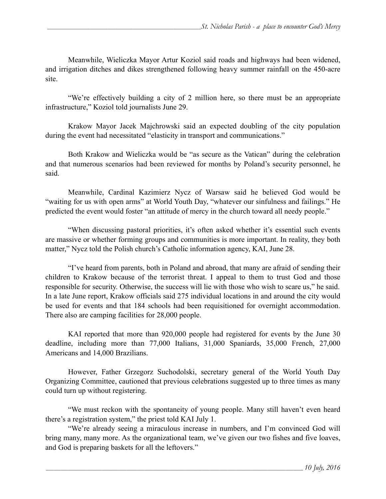Meanwhile, Wieliczka Mayor Artur Koziol said roads and highways had been widened, and irrigation ditches and dikes strengthened following heavy summer rainfall on the 450-acre site.

"We're effectively building a city of 2 million here, so there must be an appropriate infrastructure," Koziol told journalists June 29.

Krakow Mayor Jacek Majchrowski said an expected doubling of the city population during the event had necessitated "elasticity in transport and communications."

Both Krakow and Wieliczka would be "as secure as the Vatican" during the celebration and that numerous scenarios had been reviewed for months by Poland's security personnel, he said.

Meanwhile, Cardinal Kazimierz Nycz of Warsaw said he believed God would be "waiting for us with open arms" at World Youth Day, "whatever our sinfulness and failings." He predicted the event would foster "an attitude of mercy in the church toward all needy people."

"When discussing pastoral priorities, it's often asked whether it's essential such events are massive or whether forming groups and communities is more important. In reality, they both matter," Nycz told the Polish church's Catholic information agency, KAI, June 28.

"I've heard from parents, both in Poland and abroad, that many are afraid of sending their children to Krakow because of the terrorist threat. I appeal to them to trust God and those responsible for security. Otherwise, the success will lie with those who wish to scare us," he said. In a late June report, Krakow officials said 275 individual locations in and around the city would be used for events and that 184 schools had been requisitioned for overnight accommodation. There also are camping facilities for 28,000 people.

KAI reported that more than 920,000 people had registered for events by the June 30 deadline, including more than 77,000 Italians, 31,000 Spaniards, 35,000 French, 27,000 Americans and 14,000 Brazilians.

However, Father Grzegorz Suchodolski, secretary general of the World Youth Day Organizing Committee, cautioned that previous celebrations suggested up to three times as many could turn up without registering.

"We must reckon with the spontaneity of young people. Many still haven't even heard there's a registration system," the priest told KAI July 1.

"We're already seeing a miraculous increase in numbers, and I'm convinced God will bring many, many more. As the organizational team, we've given our two fishes and five loaves, and God is preparing baskets for all the leftovers."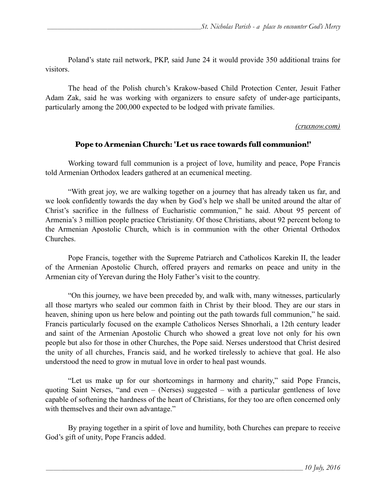Poland's state rail network, PKP, said June 24 it would provide 350 additional trains for visitors.

The head of the Polish church's Krakow-based Child Protection Center, Jesuit Father Adam Zak, said he was working with organizers to ensure safety of under-age participants, particularly among the 200,000 expected to be lodged with private families.

#### *(cruxnow.com)*

### Pope to Armenian Church: 'Let us race towards full communion!'

 Working toward full communion is a project of love, humility and peace, Pope Francis told Armenian Orthodox leaders gathered at an ecumenical meeting.

 "With great joy, we are walking together on a journey that has already taken us far, and we look confidently towards the day when by God's help we shall be united around the altar of Christ's sacrifice in the fullness of Eucharistic communion," he said. About 95 percent of Armenia's 3 million people practice Christianity. Of those Christians, about 92 percent belong to the Armenian Apostolic Church, which is in communion with the other Oriental Orthodox Churches.

 Pope Francis, together with the Supreme Patriarch and Catholicos Karekin II, the leader of the Armenian Apostolic Church, offered prayers and remarks on peace and unity in the Armenian city of Yerevan during the Holy Father's visit to the country.

 "On this journey, we have been preceded by, and walk with, many witnesses, particularly all those martyrs who sealed our common faith in Christ by their blood. They are our stars in heaven, shining upon us here below and pointing out the path towards full communion," he said. Francis particularly focused on the example Catholicos Nerses Shnorhali, a 12th century leader and saint of the Armenian Apostolic Church who showed a great love not only for his own people but also for those in other Churches, the Pope said. Nerses understood that Christ desired the unity of all churches, Francis said, and he worked tirelessly to achieve that goal. He also understood the need to grow in mutual love in order to heal past wounds.

 "Let us make up for our shortcomings in harmony and charity," said Pope Francis, quoting Saint Nerses, "and even – (Nerses) suggested – with a particular gentleness of love capable of softening the hardness of the heart of Christians, for they too are often concerned only with themselves and their own advantage."

 By praying together in a spirit of love and humility, both Churches can prepare to receive God's gift of unity, Pope Francis added.